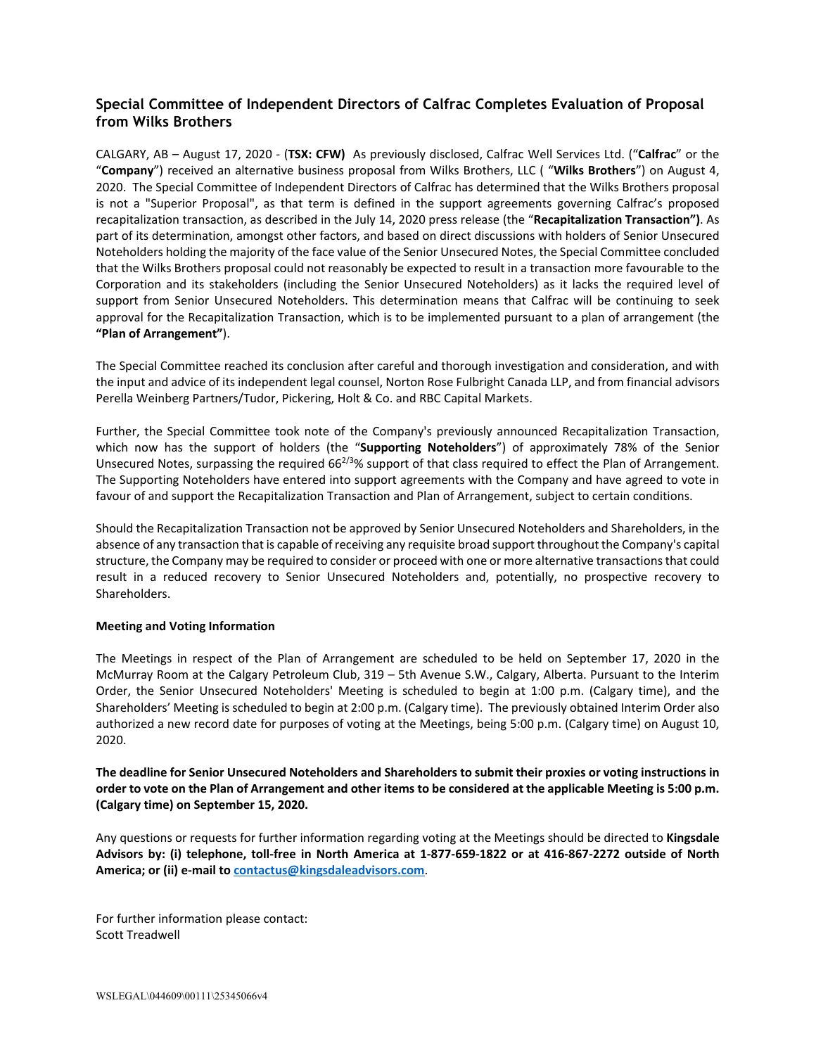## **Special Committee of Independent Directors of Calfrac Completes Evaluation of Proposal from Wilks Brothers**

CALGARY, AB – August 17, 2020 - (**TSX: CFW)** As previously disclosed, Calfrac Well Services Ltd. ("**Calfrac**" or the "**Company**") received an alternative business proposal from Wilks Brothers, LLC ( "**Wilks Brothers**") on August 4, 2020. The Special Committee of Independent Directors of Calfrac has determined that the Wilks Brothers proposal is not a "Superior Proposal", as that term is defined in the support agreements governing Calfrac's proposed recapitalization transaction, as described in the July 14, 2020 press release (the "**Recapitalization Transaction")**. As part of its determination, amongst other factors, and based on direct discussions with holders of Senior Unsecured Noteholders holding the majority of the face value of the Senior Unsecured Notes, the Special Committee concluded that the Wilks Brothers proposal could not reasonably be expected to result in a transaction more favourable to the Corporation and its stakeholders (including the Senior Unsecured Noteholders) as it lacks the required level of support from Senior Unsecured Noteholders. This determination means that Calfrac will be continuing to seek approval for the Recapitalization Transaction, which is to be implemented pursuant to a plan of arrangement (the **"Plan of Arrangement"**).

The Special Committee reached its conclusion after careful and thorough investigation and consideration, and with the input and advice of its independent legal counsel, Norton Rose Fulbright Canada LLP, and from financial advisors Perella Weinberg Partners/Tudor, Pickering, Holt & Co. and RBC Capital Markets.

Further, the Special Committee took note of the Company's previously announced Recapitalization Transaction, which now has the support of holders (the "**Supporting Noteholders**") of approximately 78% of the Senior Unsecured Notes, surpassing the required  $66^{2/3}\%$  support of that class required to effect the Plan of Arrangement. The Supporting Noteholders have entered into support agreements with the Company and have agreed to vote in favour of and support the Recapitalization Transaction and Plan of Arrangement, subject to certain conditions.

Should the Recapitalization Transaction not be approved by Senior Unsecured Noteholders and Shareholders, in the absence of any transaction that is capable of receiving any requisite broad support throughout the Company's capital structure, the Company may be required to consider or proceed with one or more alternative transactions that could result in a reduced recovery to Senior Unsecured Noteholders and, potentially, no prospective recovery to Shareholders.

## **Meeting and Voting Information**

The Meetings in respect of the Plan of Arrangement are scheduled to be held on September 17, 2020 in the McMurray Room at the Calgary Petroleum Club, 319 – 5th Avenue S.W., Calgary, Alberta. Pursuant to the Interim Order, the Senior Unsecured Noteholders' Meeting is scheduled to begin at 1:00 p.m. (Calgary time), and the Shareholders' Meeting is scheduled to begin at 2:00 p.m. (Calgary time). The previously obtained Interim Order also authorized a new record date for purposes of voting at the Meetings, being 5:00 p.m. (Calgary time) on August 10, 2020.

**The deadline for Senior Unsecured Noteholders and Shareholders to submit their proxies or voting instructions in order to vote on the Plan of Arrangement and other items to be considered at the applicable Meeting is 5:00 p.m. (Calgary time) on September 15, 2020.**

Any questions or requests for further information regarding voting at the Meetings should be directed to **Kingsdale Advisors by: (i) telephone, toll-free in North America at 1-877-659-1822 or at 416-867-2272 outside of North America; or (ii) e-mail t[o contactus@kingsdaleadvisors.com](mailto:contactus@kingsdaleadvisors.com)**.

For further information please contact: Scott Treadwell